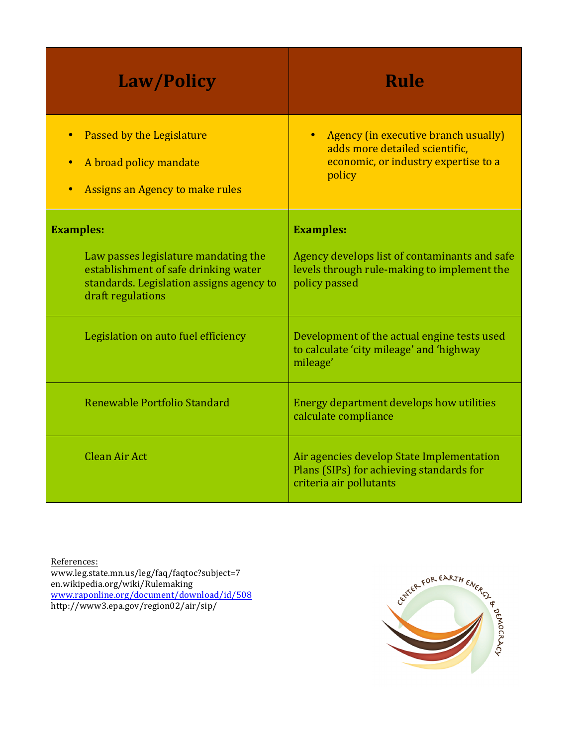| <b>Law/Policy</b>                                                                                                                                                 | <b>Rule</b>                                                                                                                           |
|-------------------------------------------------------------------------------------------------------------------------------------------------------------------|---------------------------------------------------------------------------------------------------------------------------------------|
| Passed by the Legislature<br>A broad policy mandate<br>Assigns an Agency to make rules                                                                            | Agency (in executive branch usually)<br>$\bullet$<br>adds more detailed scientific,<br>economic, or industry expertise to a<br>policy |
| <b>Examples:</b><br>Law passes legislature mandating the<br>establishment of safe drinking water<br>standards. Legislation assigns agency to<br>draft regulations | <b>Examples:</b><br>Agency develops list of contaminants and safe<br>levels through rule-making to implement the<br>policy passed     |
| Legislation on auto fuel efficiency                                                                                                                               | Development of the actual engine tests used<br>to calculate 'city mileage' and 'highway<br>mileage'                                   |
| Renewable Portfolio Standard                                                                                                                                      | Energy department develops how utilities<br>calculate compliance                                                                      |
| Clean Air Act                                                                                                                                                     | Air agencies develop State Implementation<br>Plans (SIPs) for achieving standards for<br>criteria air pollutants                      |

References: www.leg.state.mn.us/leg/faq/faqtoc?subject=7 en.wikipedia.org/wiki/Rulemaking www.raponline.org/document/download/id/508 http://www3.epa.gov/region02/air/sip/